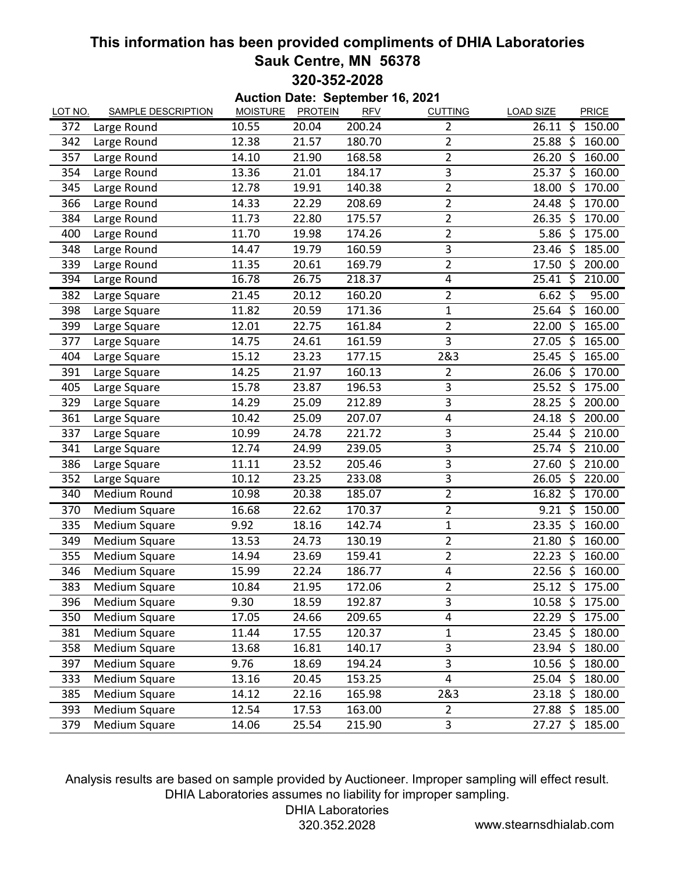## **This information has been provided compliments of DHIA Laboratories Sauk Centre, MN 56378 320-352-2028**

| Auction Date: September 16, 2021 |                           |                 |                |            |                |                                             |  |  |  |  |  |
|----------------------------------|---------------------------|-----------------|----------------|------------|----------------|---------------------------------------------|--|--|--|--|--|
| <b>LOT NO.</b>                   | <b>SAMPLE DESCRIPTION</b> | <b>MOISTURE</b> | <b>PROTEIN</b> | <b>RFV</b> | <b>CUTTING</b> | <b>LOAD SIZE</b><br>PRICE                   |  |  |  |  |  |
| 372                              | Large Round               | 10.55           | 20.04          | 200.24     | $\overline{2}$ | ζ,<br>26.11<br>150.00                       |  |  |  |  |  |
| 342                              | Large Round               | 12.38           | 21.57          | 180.70     | $\overline{2}$ | \$<br>160.00<br>25.88                       |  |  |  |  |  |
| 357                              | Large Round               | 14.10           | 21.90          | 168.58     | $\overline{2}$ | 26.20<br>\$<br>160.00                       |  |  |  |  |  |
| 354                              | Large Round               | 13.36           | 21.01          | 184.17     | 3              | 25.37<br>\$<br>160.00                       |  |  |  |  |  |
| 345                              | Large Round               | 12.78           | 19.91          | 140.38     | $\overline{2}$ | \$<br>18.00<br>170.00                       |  |  |  |  |  |
| 366                              | Large Round               | 14.33           | 22.29          | 208.69     | $\overline{2}$ | $\zeta$<br>170.00<br>24.48                  |  |  |  |  |  |
| 384                              | Large Round               | 11.73           | 22.80          | 175.57     | $\overline{2}$ | 170.00<br>26.35<br>\$                       |  |  |  |  |  |
| 400                              | Large Round               | 11.70           | 19.98          | 174.26     | $\overline{2}$ | 5.86<br>\$<br>175.00                        |  |  |  |  |  |
| 348                              | Large Round               | 14.47           | 19.79          | 160.59     | 3              | $\zeta$<br>185.00<br>23.46                  |  |  |  |  |  |
| 339                              | Large Round               | 11.35           | 20.61          | 169.79     | $\overline{2}$ | $\zeta$<br>17.50<br>200.00                  |  |  |  |  |  |
| 394                              | Large Round               | 16.78           | 26.75          | 218.37     | $\overline{4}$ | ें दे<br>210.00<br>25.41                    |  |  |  |  |  |
| 382                              | Large Square              | 21.45           | 20.12          | 160.20     | 2              | $6.62$ \$<br>95.00                          |  |  |  |  |  |
| 398                              | Large Square              | 11.82           | 20.59          | 171.36     | $\mathbf{1}$   | $\overline{\mathcal{S}}$<br>25.64<br>160.00 |  |  |  |  |  |
| 399                              | Large Square              | 12.01           | 22.75          | 161.84     | $\overline{2}$ | 22.00<br>\$<br>165.00                       |  |  |  |  |  |
| 377                              | Large Square              | 14.75           | 24.61          | 161.59     | 3              | \$<br>165.00<br>27.05                       |  |  |  |  |  |
| 404                              | Large Square              | 15.12           | 23.23          | 177.15     | 2&3            | $\zeta$<br>165.00<br>25.45                  |  |  |  |  |  |
| 391                              | Large Square              | 14.25           | 21.97          | 160.13     | $\overline{2}$ | 26.06<br>\$<br>170.00                       |  |  |  |  |  |
| 405                              | Large Square              | 15.78           | 23.87          | 196.53     | 3              | $25.52$ \$<br>175.00                        |  |  |  |  |  |
| 329                              | Large Square              | 14.29           | 25.09          | 212.89     | 3              | 28.25<br>200.00<br>\$                       |  |  |  |  |  |
| 361                              | Large Square              | 10.42           | 25.09          | 207.07     | 4              | \$<br>200.00<br>24.18                       |  |  |  |  |  |
| 337                              | Large Square              | 10.99           | 24.78          | 221.72     | 3              | 25.44<br>Ś<br>210.00                        |  |  |  |  |  |
| 341                              | Large Square              | 12.74           | 24.99          | 239.05     | 3              | 210.00<br>25.74<br>\$                       |  |  |  |  |  |
| 386                              | Large Square              | 11.11           | 23.52          | 205.46     | 3              | 27.60<br>\$<br>210.00                       |  |  |  |  |  |
| 352                              | Large Square              | 10.12           | 23.25          | 233.08     | $\overline{3}$ | \$<br>26.05<br>220.00                       |  |  |  |  |  |
| 340                              | <b>Medium Round</b>       | 10.98           | 20.38          | 185.07     | $\overline{2}$ | $\ddot{\zeta}$<br>170.00<br>16.82           |  |  |  |  |  |
| 370                              | Medium Square             | 16.68           | 22.62          | 170.37     | $\overline{2}$ | $9.21$ \$<br>150.00                         |  |  |  |  |  |
| 335                              | Medium Square             | 9.92            | 18.16          | 142.74     | $\mathbf 1$    | $\zeta$<br>23.35<br>160.00                  |  |  |  |  |  |
| 349                              | Medium Square             | 13.53           | 24.73          | 130.19     | $\overline{2}$ | \$<br>160.00<br>21.80                       |  |  |  |  |  |
| 355                              | <b>Medium Square</b>      | 14.94           | 23.69          | 159.41     | $\overline{2}$ | \$<br>22.23<br>160.00                       |  |  |  |  |  |
| 346                              | <b>Medium Square</b>      | 15.99           | 22.24          | 186.77     | 4              | ς.<br>22.56<br>160.00                       |  |  |  |  |  |
| 383                              | Medium Square             | 10.84           | 21.95          | 172.06     | 2              | 25.12 \$ 175.00                             |  |  |  |  |  |
| 396                              | Medium Square             | 9.30            | 18.59          | 192.87     | 3              | $10.58$ \$<br>175.00                        |  |  |  |  |  |
| 350                              | Medium Square             | 17.05           | 24.66          | 209.65     | 4              | $22.29$ \$<br>175.00                        |  |  |  |  |  |
| 381                              | Medium Square             | 11.44           | 17.55          | 120.37     | $\mathbf 1$    | $23.45$ \$<br>180.00                        |  |  |  |  |  |
| 358                              | Medium Square             | 13.68           | 16.81          | 140.17     | 3              | $23.94 \; \simeq$<br>180.00                 |  |  |  |  |  |
| 397                              | Medium Square             | 9.76            | 18.69          | 194.24     | $\overline{3}$ | $10.56$ \$<br>180.00                        |  |  |  |  |  |
| 333                              | Medium Square             | 13.16           | 20.45          | 153.25     | 4              | $25.04$ \$<br>180.00                        |  |  |  |  |  |
| 385                              | Medium Square             | 14.12           | 22.16          | 165.98     | 2&3            | $23.18$ \$<br>180.00                        |  |  |  |  |  |
| 393                              | Medium Square             | 12.54           | 17.53          | 163.00     | $\overline{2}$ | 185.00<br>$27.88 \; \zeta$                  |  |  |  |  |  |
| 379                              | Medium Square             | 14.06           | 25.54          | 215.90     | 3              | $27.27$ \$<br>185.00                        |  |  |  |  |  |

Analysis results are based on sample provided by Auctioneer. Improper sampling will effect result. DHIA Laboratories assumes no liability for improper sampling. DHIA Laboratories

320.352.2028 www.stearnsdhialab.com